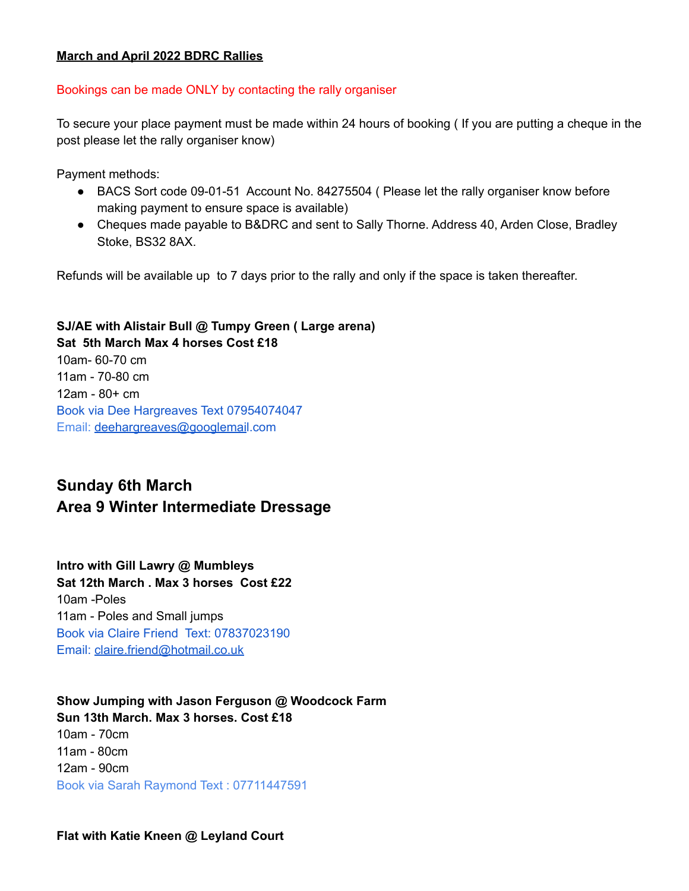#### **March and April 2022 BDRC Rallies**

#### Bookings can be made ONLY by contacting the rally organiser

To secure your place payment must be made within 24 hours of booking ( If you are putting a cheque in the post please let the rally organiser know)

Payment methods:

- BACS Sort code 09-01-51 Account No. 84275504 (Please let the rally organiser know before making payment to ensure space is available)
- Cheques made payable to B&DRC and sent to Sally Thorne. Address 40, Arden Close, Bradley Stoke, BS32 8AX.

Refunds will be available up to 7 days prior to the rally and only if the space is taken thereafter.

### **SJ/AE with Alistair Bull @ Tumpy Green ( Large arena) Sat 5th March Max 4 horses Cost £18**

10am- 60-70 cm 11am - 70-80 cm 12am - 80+ cm Book via Dee Hargreaves Text 07954074047 Email: [deehargreaves@googlemai](mailto:deehargreaves@googlemail.com)l.com

# **Sunday 6th March Area 9 Winter Intermediate Dressage**

**Intro with Gill Lawry @ Mumbleys Sat 12th March . Max 3 horses Cost £22** 10am -Poles 11am - Poles and Small jumps Book via Claire Friend Text: 07837023190 Email: [claire.friend@hotmail.co.uk](mailto:claire.friend@hotmail.co.uk)

**Show Jumping with Jason Ferguson @ Woodcock Farm Sun 13th March. Max 3 horses. Cost £18** 10am - 70cm 11am - 80cm 12am - 90cm Book via Sarah Raymond Text : 07711447591

#### **Flat with Katie Kneen @ Leyland Court**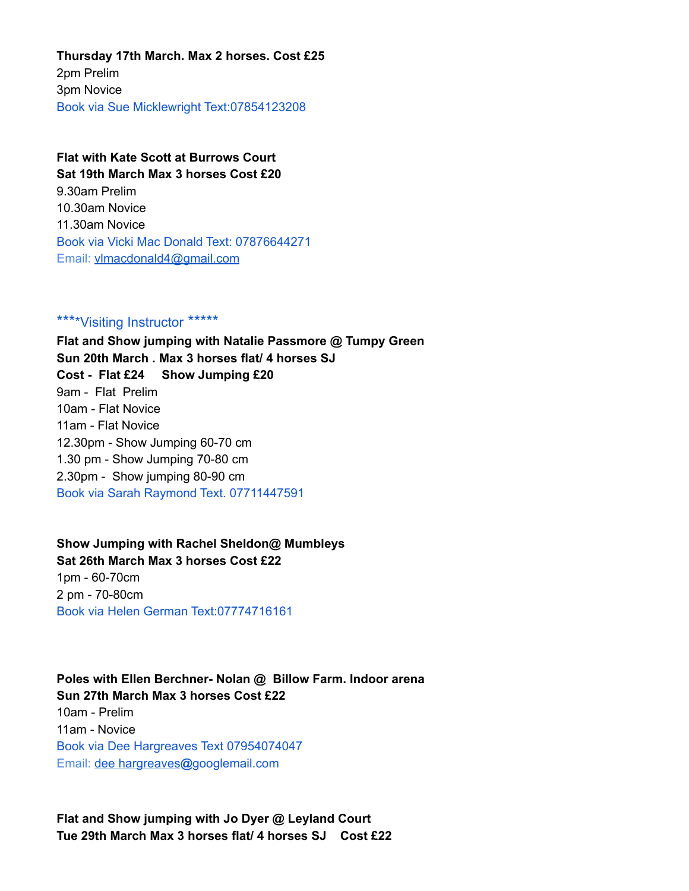**Thursday 17th March. Max 2 horses. Cost £25** 2pm Prelim 3pm Novice Book via Sue Micklewright Text:07854123208

### **Flat with Kate Scott at Burrows Court Sat 19th March Max 3 horses Cost £20** 9.30am Prelim 10.30am Novice

11.30am Novice Book via Vicki Mac Donald Text: 07876644271 Email: [vlmacdonald4@gmail.com](mailto:vlmacdonald4@gmail.com)

#### \*\*\*\*Visiting Instructor \*\*\*\*\*

**Flat and Show jumping with Natalie Passmore @ Tumpy Green Sun 20th March . Max 3 horses flat/ 4 horses SJ Cost - Flat £24 Show Jumping £20** 9am - Flat Prelim 10am - Flat Novice 11am - Flat Novice 12.30pm - Show Jumping 60-70 cm 1.30 pm - Show Jumping 70-80 cm 2.30pm - Show jumping 80-90 cm Book via Sarah Raymond Text. 07711447591

#### **Show Jumping with Rachel Sheldon@ Mumbleys Sat 26th March Max 3 horses Cost £22**

1pm - 60-70cm 2 pm - 70-80cm Book via Helen German Text:07774716161

## **Poles with Ellen Berchner- Nolan @ Billow Farm. Indoor arena Sun 27th March Max 3 horses Cost £22**

10am - Prelim 11am - Novice Book via Dee Hargreaves Text 07954074047 Email: dee [hargreaves](mailto:deehargreaves@googlemail.com)**@**googlemail.com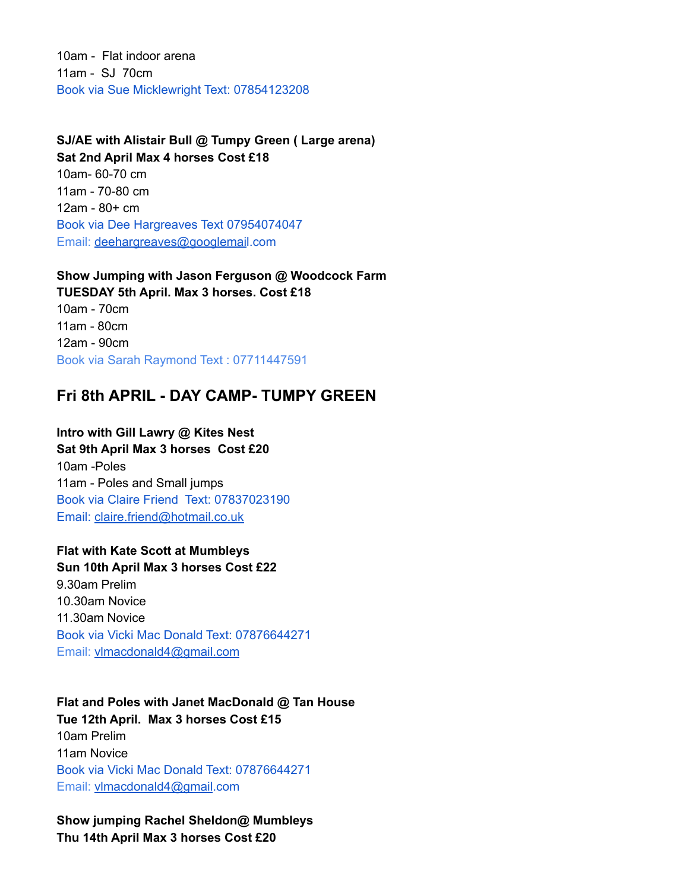10am - Flat indoor arena 11am - SJ 70cm Book via Sue Micklewright Text: 07854123208

**SJ/AE with Alistair Bull @ Tumpy Green ( Large arena) Sat 2nd April Max 4 horses Cost £18** 10am- 60-70 cm 11am - 70-80 cm 12am - 80+ cm Book via Dee Hargreaves Text 07954074047 Email: [deehargreaves@googlemai](mailto:deehargreaves@googlemail.com)l.com

**Show Jumping with Jason Ferguson @ Woodcock Farm TUESDAY 5th April. Max 3 horses. Cost £18** 10am - 70cm 11am - 80cm 12am - 90cm Book via Sarah Raymond Text : 07711447591

## **Fri 8th APRIL - DAY CAMP- TUMPY GREEN**

**Intro with Gill Lawry @ Kites Nest Sat 9th April Max 3 horses Cost £20** 10am -Poles 11am - Poles and Small jumps Book via Claire Friend Text: 07837023190 Email: [claire.friend@hotmail.co.uk](mailto:claire.friend@hotmail.co.uk)

**Flat with Kate Scott at Mumbleys Sun 10th April Max 3 horses Cost £22** 9.30am Prelim 10.30am Novice 11.30am Novice Book via Vicki Mac Donald Text: 07876644271 Email: [vlmacdonald4@gmail.com](mailto:vlmacdonald4@gmail.com)

**Flat and Poles with Janet MacDonald @ Tan House Tue 12th April. Max 3 horses Cost £15** 10am Prelim 11am Novice Book via Vicki Mac Donald Text: 07876644271 Email: [vlmacdonald4@gmail](mailto:vlmacdonald4@gmail.com).com

**Show jumping Rachel Sheldon@ Mumbleys Thu 14th April Max 3 horses Cost £20**